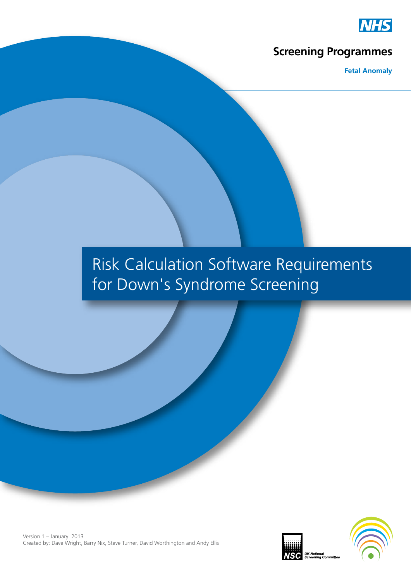

### **Screening Programmes**

**Fetal Anomaly**

# Risk Calculation Software Requirements for Down's Syndrome Screening



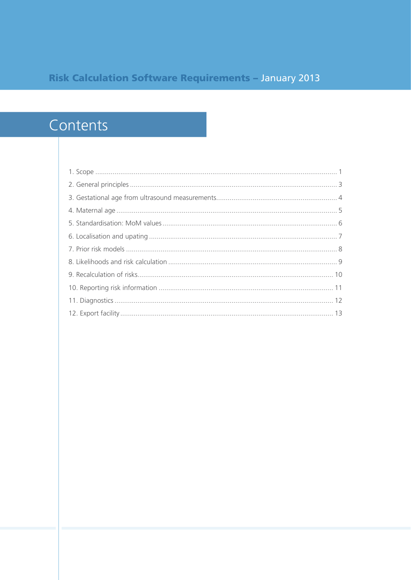### **Risk Calculation Software Requirements - January 2013**

## Contents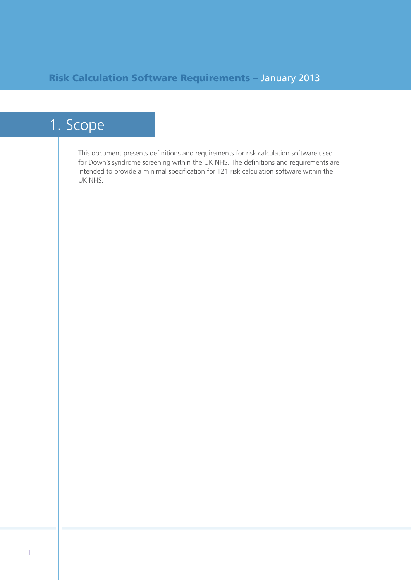## 1. Scope

This document presents definitions and requirements for risk calculation software used for Down's syndrome screening within the UK NHS. The definitions and requirements are intended to provide a minimal specification for T21 risk calculation software within the UK NHS.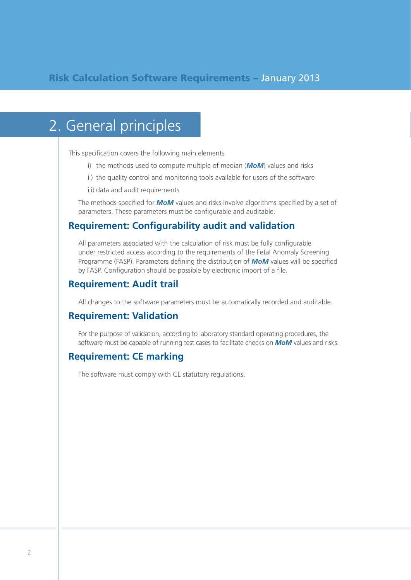## 2. General principles

This specification covers the following main elements

- i) the methods used to compute multiple of median (*MoM*) values and risks
- ii) the quality control and monitoring tools available for users of the software
- iii) data and audit requirements

The methods specified for *MoM* values and risks involve algorithms specified by a set of parameters. These parameters must be configurable and auditable.

#### **Requirement: Configurability audit and validation**

All parameters associated with the calculation of risk must be fully configurable under restricted access according to the requirements of the Fetal Anomaly Screening Programme (FASP). Parameters defining the distribution of *MoM* values will be specified by FASP. Configuration should be possible by electronic import of a file.

#### **Requirement: Audit trail**

All changes to the software parameters must be automatically recorded and auditable.

#### **Requirement: Validation**

For the purpose of validation, according to laboratory standard operating procedures, the software must be capable of running test cases to facilitate checks on *MoM* values and risks.

#### **Requirement: CE marking**

The software must comply with CE statutory regulations.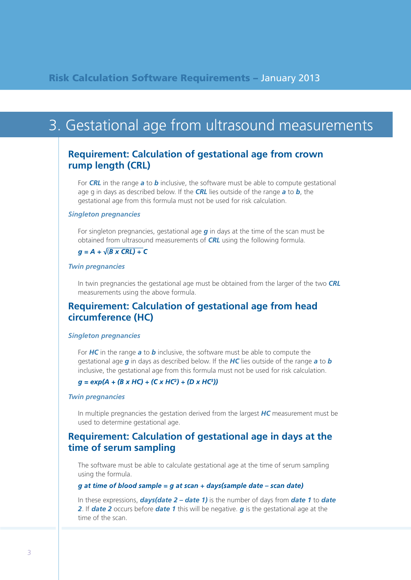## 3. Gestational age from ultrasound measurements

### **Requirement: Calculation of gestational age from crown rump length (CRL)**

For *CRL* in the range *a* to *b* inclusive, the software must be able to compute gestational age g in days as described below. If the *CRL* lies outside of the range *a* to *b*, the gestational age from this formula must not be used for risk calculation.

#### *Singleton pregnancies*

For singleton pregnancies, gestational age *g* in days at the time of the scan must be obtained from ultrasound measurements of *CRL* using the following formula.

#### $q = A + \sqrt{(B \times CRL) + C}$

#### *Twin pregnancies*

In twin pregnancies the gestational age must be obtained from the larger of the two *CRL* measurements using the above formula.

### **Requirement: Calculation of gestational age from head circumference (HC)**

#### *Singleton pregnancies*

For *HC* in the range *a* to *b* inclusive, the software must be able to compute the gestational age *g* in days as described below. If the *HC* lies outside of the range *a* to *b* inclusive, the gestational age from this formula must not be used for risk calculation.

#### $q = exp(A + (B \times HC) + (C \times HC^2) + (D \times HC^3))$

#### *Twin pregnancies*

In multiple pregnancies the gestation derived from the largest *HC* measurement must be used to determine gestational age.

#### **Requirement: Calculation of gestational age in days at the time of serum sampling**

The software must be able to calculate gestational age at the time of serum sampling using the formula.

#### $g$  at time of blood sample =  $g$  at scan + days(sample date - scan date)

In these expressions, *days(date 2 – date 1)* is the number of days from *date 1* to *date 2*. If *date 2* occurs before *date 1* this will be negative. *g* is the gestational age at the time of the scan.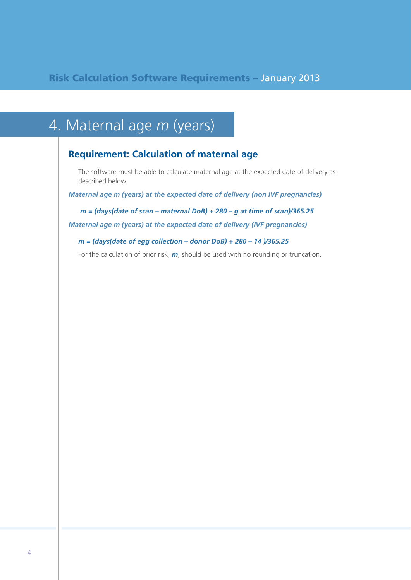# 4. Maternal age *m* (years)

### **Requirement: Calculation of maternal age**

The software must be able to calculate maternal age at the expected date of delivery as described below.

*Maternal age m (years) at the expected date of delivery (non IVF pregnancies)*

*m = (days(date of scan – maternal DoB) + 280 – g at time of scan)/365.25*

*Maternal age m (years) at the expected date of delivery (IVF pregnancies)*

*m = (days(date of egg collection – donor DoB) + 280 – 14 )/365.25*

For the calculation of prior risk, *m*, should be used with no rounding or truncation.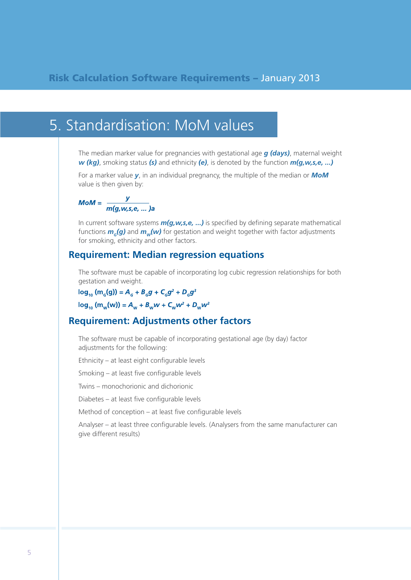### 5. Standardisation: MoM values

The median marker value for pregnancies with gestational age *g (days)*, maternal weight *w (kg)*, smoking status *(s)* and ethnicity *(e)*, is denoted by the function *m(g,w,s,e, ...)*

For a marker value *y*, in an individual pregnancy, the multiple of the median or *MoM* value is then given by:

$$
M \circ M = \frac{y}{m(g, w, s, e, \dots)}a
$$

In current software systems *m(g,w,s,e, ...)* is specified by defining separate mathematical functions  $m_g(g)$  and  $m_w(w)$  for gestation and weight together with factor adjustments for smoking, ethnicity and other factors.

#### **Requirement: Median regression equations**

The software must be capable of incorporating log cubic regression relationships for both gestation and weight.

 $\log_{10}$  (m<sub>c</sub>(g)) = A<sub>c</sub> + B<sub>c</sub>g + C<sub>c</sub>g<sup>2</sup> + D<sub>c</sub>g<sup>3</sup>

 $\log_{10} (m_w(w)) = A_w + B_w w + C_w w^2 + D_w w^3$ 

#### **Requirement: Adjustments other factors**

The software must be capable of incorporating gestational age (by day) factor adjustments for the following:

Ethnicity – at least eight configurable levels

Smoking – at least five configurable levels

Twins – monochorionic and dichorionic

Diabetes – at least five configurable levels

Method of conception – at least five configurable levels

Analyser – at least three configurable levels. (Analysers from the same manufacturer can give different results)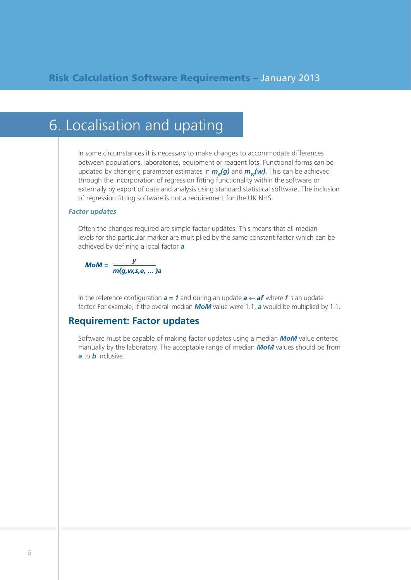## 6. Localisation and upating

In some circumstances it is necessary to make changes to accommodate differences between populations, laboratories, equipment or reagent lots. Functional forms can be updated by changing parameter estimates in  $m_c(g)$  and  $m_w(w)$ . This can be achieved through the incorporation of regression fitting functionality within the software or externally by export of data and analysis using standard statistical software. The inclusion of regression fitting software is not a requirement for the UK NHS.

#### *Factor updates*

Often the changes required are simple factor updates. This means that all median levels for the particular marker are multiplied by the same constant factor which can be achieved by defining a local factor *a*



In the reference configuration  $a = 1$  and during an update  $a \leftarrow af$  where *f* is an update factor. For example, if the overall median *MoM* value were 1.1, *a* would be multiplied by 1.1.

#### **Requirement: Factor updates**

Software must be capable of making factor updates using a median *MoM* value entered manually by the laboratory. The acceptable range of median *MoM* values should be from *a* to *b* inclusive.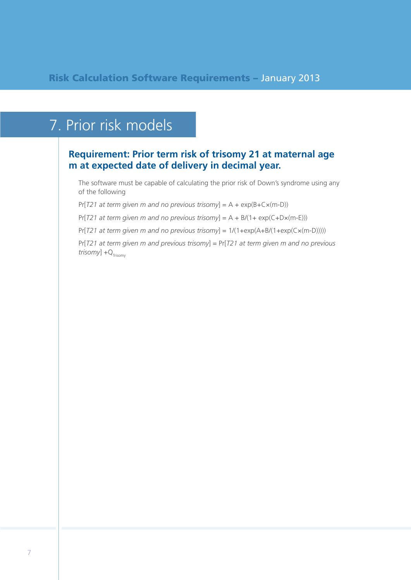## 7. Prior risk models

### **Requirement: Prior term risk of trisomy 21 at maternal age m at expected date of delivery in decimal year.**

The software must be capable of calculating the prior risk of Down's syndrome using any of the following

Pr[*T21 at term given m and no previous trisomy*] = A + exp(B+C×(m-D))

Pr[*T21 at term given m and no previous trisomy*] = A + B/(1+ exp(C+D×(m-E)))

Pr[*T21 at term given m and no previous trisomy*] = 1/(1+exp(A+B/(1+exp(C×(m-D)))))

Pr[*T21 at term given m and previous trisomy*] = Pr[*T21 at term given m and no previous*   $trisomy$ ]  $+Q<sub>Trisomy</sub>$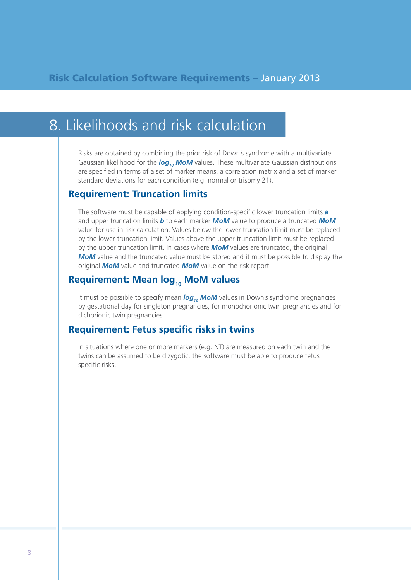## 8. Likelihoods and risk calculation

Risks are obtained by combining the prior risk of Down's syndrome with a multivariate Gaussian likelihood for the log<sub>10</sub> MoM values. These multivariate Gaussian distributions are specified in terms of a set of marker means, a correlation matrix and a set of marker standard deviations for each condition (e.g. normal or trisomy 21).

#### **Requirement: Truncation limits**

The software must be capable of applying condition-specific lower truncation limits *a* and upper truncation limits *b* to each marker *MoM* value to produce a truncated *MoM* value for use in risk calculation. Values below the lower truncation limit must be replaced by the lower truncation limit. Values above the upper truncation limit must be replaced by the upper truncation limit. In cases where *MoM* values are truncated, the original *MoM* value and the truncated value must be stored and it must be possible to display the original *MoM* value and truncated *MoM* value on the risk report.

### **Requirement: Mean log<sub>10</sub> MoM values**

It must be possible to specify mean **log<sub>10</sub> MoM** values in Down's syndrome pregnancies by gestational day for singleton pregnancies, for monochorionic twin pregnancies and for dichorionic twin pregnancies.

#### **Requirement: Fetus specific risks in twins**

In situations where one or more markers (e.g. NT) are measured on each twin and the twins can be assumed to be dizygotic, the software must be able to produce fetus specific risks.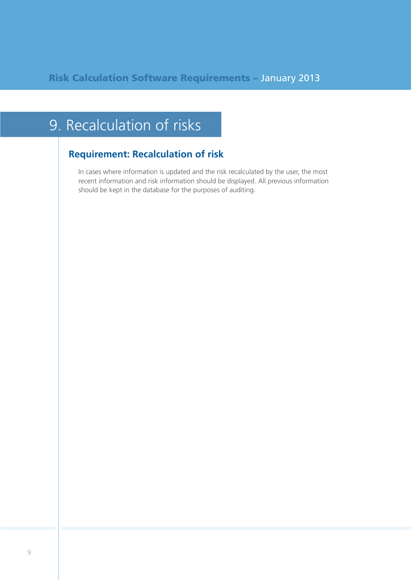## 9. Recalculation of risks

### **Requirement: Recalculation of risk**

In cases where information is updated and the risk recalculated by the user, the most recent information and risk information should be displayed. All previous information should be kept in the database for the purposes of auditing.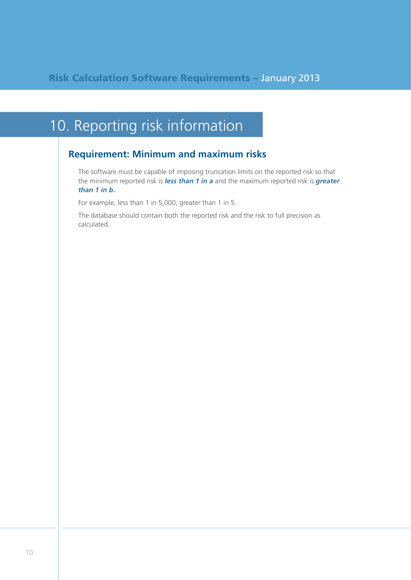## 10. Reporting risk information

### **Requirement: Minimum and maximum risks**

The software must be capable of imposing truncation limits on the reported risk so that the minimum reported risk is *less than 1 in a* and the maximum reported risk is *greater than 1 in b.* 

For example, less than 1 in 5,000; greater than 1 in 5.

The database should contain both the reported risk and the risk to full precision as calculated.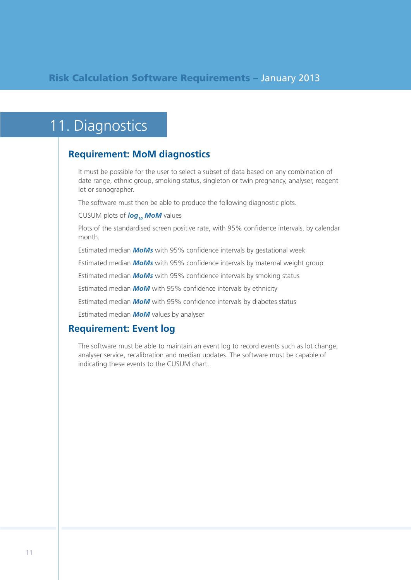### 11. Diagnostics

### **Requirement: MoM diagnostics**

It must be possible for the user to select a subset of data based on any combination of date range, ethnic group, smoking status, singleton or twin pregnancy, analyser, reagent lot or sonographer.

The software must then be able to produce the following diagnostic plots.

CUSUM plots of **log<sub>10</sub>** MoM values

Plots of the standardised screen positive rate, with 95% confidence intervals, by calendar month.

Estimated median *MoMs* with 95% confidence intervals by gestational week

Estimated median *MoMs* with 95% confidence intervals by maternal weight group

Estimated median *MoMs* with 95% confidence intervals by smoking status

Estimated median *MoM* with 95% confidence intervals by ethnicity

Estimated median *MoM* with 95% confidence intervals by diabetes status

Estimated median *MoM* values by analyser

#### **Requirement: Event log**

The software must be able to maintain an event log to record events such as lot change, analyser service, recalibration and median updates. The software must be capable of indicating these events to the CUSUM chart.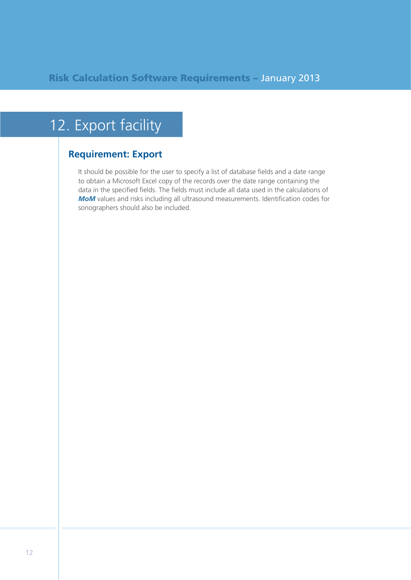## 12. Export facility

### **Requirement: Export**

It should be possible for the user to specify a list of database fields and a date range to obtain a Microsoft Excel copy of the records over the date range containing the data in the specified fields. The fields must include all data used in the calculations of **MoM** values and risks including all ultrasound measurements. Identification codes for sonographers should also be included.